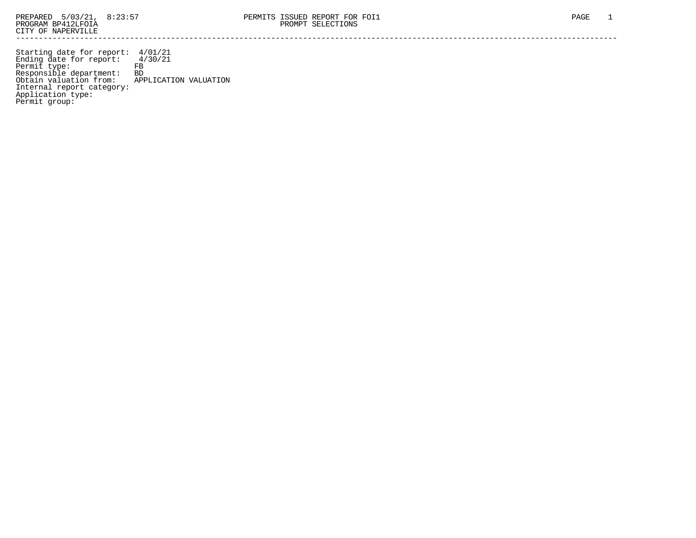Starting date for report: 4/01/21 Ending date for report: 4/30/21 Permit type: FB Responsible department: BD Obtain valuation from: APPLICATION VALUATION Internal report category: Application type: Permit group: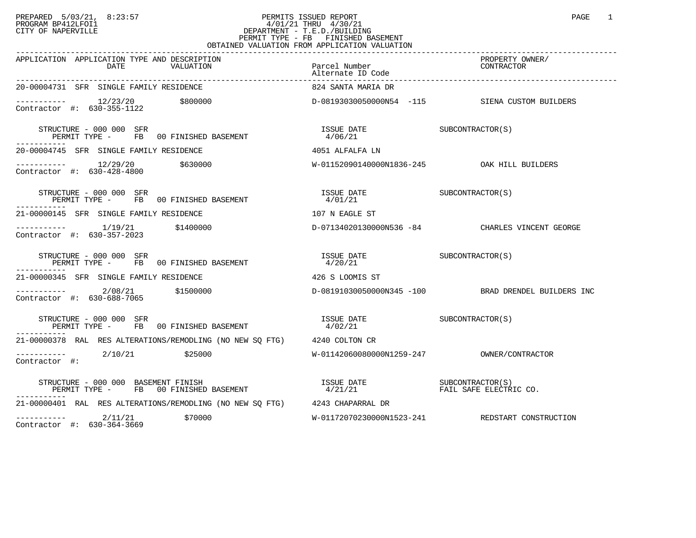## PREPARED 5/03/21, 8:23:57 PERMITS ISSUED REPORT<br>PROGRAM BP412LFOI1 PAGE 1 PROGRAM BP412LFOI1 4/01/21 THRU 4/30/21 CITY OF NAPERVILLE **Example 20** CITY OF NAPERVILLE PERMIT TYPE - FB FINISHED BASEMENT OBTAINED VALUATION FROM APPLICATION VALUATION

| APPLICATION APPLICATION TYPE AND DESCRIPTION<br>DATE<br>VALUATION                                                                                                                                                                                                            | Parcel Number<br>Alternate ID Code     | PROPERTY OWNER/<br>CONTRACTOR                       |
|------------------------------------------------------------------------------------------------------------------------------------------------------------------------------------------------------------------------------------------------------------------------------|----------------------------------------|-----------------------------------------------------|
| 20-00004731 SFR SINGLE FAMILY RESIDENCE                                                                                                                                                                                                                                      | 824 SANTA MARIA DR                     |                                                     |
| ----------- 12/23/20 \$800000<br>Contractor #: 630-355-1122                                                                                                                                                                                                                  |                                        | D-08193030050000N54 -115 SIENA CUSTOM BUILDERS      |
| STRUCTURE - 000 000 SFR<br>STRUCTURE - 000 000 SFR<br>PERMIT TYPE -    FB   00 FINISHED BASEMENT                                                                                                                                                                             | ISSUE DATE SUBCONTRACTOR(S)<br>4/06/21 |                                                     |
| 20-00004745 SFR SINGLE FAMILY RESIDENCE                                                                                                                                                                                                                                      | 4051 ALFALFA LN                        |                                                     |
| $---------$ 12/29/20 \$630000<br>Contractor #: 630-428-4800                                                                                                                                                                                                                  |                                        | W-01152090140000N1836-245 OAK HILL BUILDERS         |
| STRUCTURE - 000 000 SFR<br>PERMIT TYPE - FB 00 FINISHED BASEMENT                                                                                                                                                                                                             | ISSUE DATE SUBCONTRACTOR(S)<br>4/01/21 |                                                     |
| 21-00000145 SFR SINGLE FAMILY RESIDENCE                                                                                                                                                                                                                                      | 107 N EAGLE ST                         |                                                     |
| $\frac{1}{19/21}$ \$1400000<br>Contractor #: 630-357-2023                                                                                                                                                                                                                    |                                        | D-07134020130000N536 -84 CHARLES VINCENT GEORGE     |
| STRUCTURE - 000 000 SFR<br>PERMIT TYPE - FB 00 FINISHED BASEMENT<br>. _ _ _ _ _ _ _ _ _ _                                                                                                                                                                                    | ISSUE DATE SUBCONTRACTOR(S)<br>4/20/21 |                                                     |
| 21-00000345 SFR SINGLE FAMILY RESIDENCE                                                                                                                                                                                                                                      | 426 S LOOMIS ST                        |                                                     |
| $------ 2/08/21$ \$1500000<br>Contractor #: 630-688-7065                                                                                                                                                                                                                     |                                        | D-08191030050000N345 -100 BRAD DRENDEL BUILDERS INC |
| STRUCTURE - 000 000 SFR<br>PERMIT TYPE - FB 00 FINISHED BASEMENT<br>STRUCTURE - 000 000 SFR                                                                                                                                                                                  | ISSUE DATE SUBCONTRACTOR(S)<br>4/02/21 |                                                     |
| 21-00000378 RAL RES ALTERATIONS/REMODLING (NO NEW SO FTG) 4240 COLTON CR                                                                                                                                                                                                     |                                        |                                                     |
| $---------2/10/21$ \$25000<br>Contractor #:                                                                                                                                                                                                                                  |                                        |                                                     |
| $\begin{tabular}{lclclcl} \textbf{STRUCTURE} & - & 000 & 000 & \textbf{BASEMENT} & \textbf{FINISH} & \textbf{SUSUE} & \textbf{DATE} & \textbf{SUBCONTRACTOR(S)} \\ \textbf{PERMIT TYPE} & - & \textbf{FB} & 00 \textbf{ FINISHED BASEMENT} & & & & & & & & \\ \end{tabular}$ |                                        |                                                     |
| 21-00000401 RAL RES ALTERATIONS/REMODLING (NO NEW SO FTG) 4243 CHAPARRAL DR                                                                                                                                                                                                  |                                        |                                                     |
| \$70000<br>$--------- 2/11/21$                                                                                                                                                                                                                                               |                                        | W-01172070230000N1523-241 REDSTART CONSTRUCTION     |

Contractor #: 630-364-3669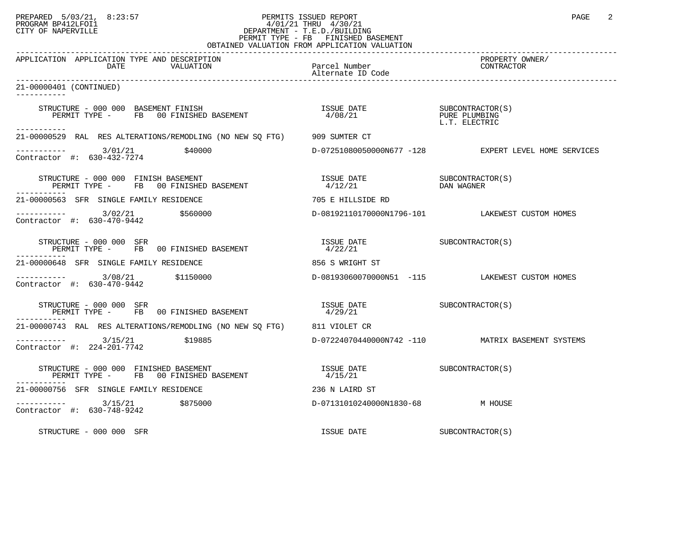## PREPARED 5/03/21, 8:23:57 PERMITS ISSUED REPORT<br>PROGRAM BP412LFOI1 PAGE 2 PROGRAM BP412LFOI1 4/01/21 THRU 4/30/21 CITY OF NAPERVILLE **Example 20** CITY OF NAPERVILLE PERMIT TYPE - FB FINISHED BASEMENT OBTAINED VALUATION FROM APPLICATION VALUATION

| APPLICATION APPLICATION TYPE AND DESCRIPTION<br>DATE<br>VALUATION                                                                                                                                                                                                                        | Parcel Number<br>Alternate ID Code     | PROPERTY OWNER/<br>CONTRACTOR                        |
|------------------------------------------------------------------------------------------------------------------------------------------------------------------------------------------------------------------------------------------------------------------------------------------|----------------------------------------|------------------------------------------------------|
| 21-00000401 (CONTINUED)<br>___________                                                                                                                                                                                                                                                   |                                        |                                                      |
| STRUCTURE - 000 000 BASEMENT FINISH<br>RUCTURE - 000 000 BASEMENT FINISH<br>PERMIT TYPE -       FB    00 FINISHED BASEMENT                               4/08/21                                                                                                                         |                                        | SUBCONTRACTOR(S)<br>PURE PLUMBING<br>L.T. ELECTRIC   |
| -----------<br>21-00000529 RAL RES ALTERATIONS/REMODLING (NO NEW SQ FTG) 909 SUMTER CT                                                                                                                                                                                                   |                                        |                                                      |
| $\frac{\text{---} \text{---} \text{---} \text{---}}{\text{Contractor}}$ #: 630-432-7274<br>\$40000                                                                                                                                                                                       |                                        | D-07251080050000N677 -128 EXPERT LEVEL HOME SERVICES |
| STRUCTURE - 000 000 FINISH BASEMENT<br>PERMIT TYPE - FB 00 FINISHED BASEMENT                                                                                                                                                                                                             | ISSUE DATE<br>4/12/21                  | SUBCONTRACTOR (S)<br>DAN WAGNER                      |
| 21-00000563 SFR SINGLE FAMILY RESIDENCE                                                                                                                                                                                                                                                  | 705 E HILLSIDE RD                      |                                                      |
| $\frac{1}{2}$ $\frac{3}{2}$ $\frac{3}{2}$ $\frac{3}{2}$ $\frac{3}{2}$ $\frac{3}{2}$ $\frac{3}{2}$ $\frac{3}{2}$ $\frac{3}{2}$ $\frac{3}{2}$ $\frac{3}{2}$ $\frac{3}{2}$ $\frac{3}{2}$ $\frac{3}{2}$ $\frac{3}{2}$ $\frac{3}{2}$ $\frac{3}{2}$ $\frac{3}{2$<br>Contractor #: 630-470-9442 |                                        | D-08192110170000N1796-101 LAKEWEST CUSTOM HOMES      |
| STRUCTURE - 000 000 SFR<br>PERMIT TYPE - FB 00 FINISHED BASEMENT                                                                                                                                                                                                                         | ISSUE DATE SUBCONTRACTOR(S)<br>4/22/21 |                                                      |
| 21-00000648 SFR SINGLE FAMILY RESIDENCE                                                                                                                                                                                                                                                  | 856 S WRIGHT ST                        |                                                      |
| $-$ --------- $3/08/21$ \$1150000<br>Contractor #: 630-470-9442                                                                                                                                                                                                                          |                                        | D-08193060070000N51 -115 LAKEWEST CUSTOM HOMES       |
| STRUCTURE - 000 000 SFR<br>PERMIT TYPE - FB 00 FINISHED BASEMENT                                                                                                                                                                                                                         | ISSUE DATE SUBCONTRACTOR(S)<br>4/29/21 |                                                      |
| 21-00000743 RAL RES ALTERATIONS/REMODLING (NO NEW SQ FTG) 811 VIOLET CR                                                                                                                                                                                                                  |                                        |                                                      |
| $--------$ 3/15/21 \$19885<br>Contractor #: 224-201-7742                                                                                                                                                                                                                                 |                                        | D-07224070440000N742 -110 MATRIX BASEMENT SYSTEMS    |
| STRUCTURE - 000 000 FINISHED BASEMENT<br>PERMIT TYPE - FB 00 FINISHED BASEMENT                                                                                                                                                                                                           | ISSUE DATE<br>4/15/21                  | SUBCONTRACTOR (S)                                    |
| 21-00000756 SFR SINGLE FAMILY RESIDENCE                                                                                                                                                                                                                                                  | 236 N LAIRD ST                         |                                                      |
| $---------$ 3/15/21 \$875000<br>Contractor #: 630-748-9242                                                                                                                                                                                                                               | D-07131010240000N1830-68 M HOUSE       |                                                      |
| STRUCTURE - 000 000 SFR                                                                                                                                                                                                                                                                  | ISSUE DATE                             | SUBCONTRACTOR(S)                                     |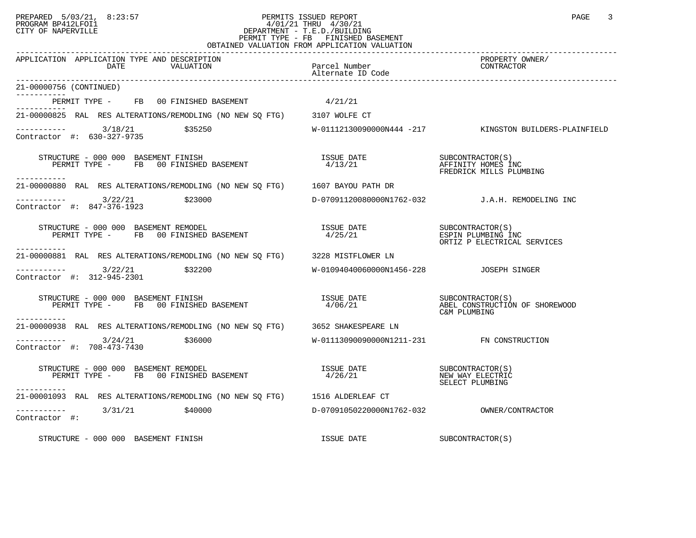## PREPARED 5/03/21, 8:23:57 PERMITS ISSUED REPORT<br>PROGRAM BP412LFOI1 PAGE 3 PROGRAM BP412LFOI1 PROGRAM BP412LFOI1 4/01/21 THRU 4/30/21 CITY OF NAPERVILLE **Example 20** CITY OF NAPERVILLE PERMIT TYPE - FB FINISHED BASEMENT OBTAINED VALUATION FROM APPLICATION VALUATION

| APPLICATION APPLICATION TYPE AND DESCRIPTION<br>DATE<br>VALUATION                                                                                                                                                                                                                   | Parcel Number<br>Alternate ID Code                | PROPERTY OWNER/<br>CONTRACTOR                                      |
|-------------------------------------------------------------------------------------------------------------------------------------------------------------------------------------------------------------------------------------------------------------------------------------|---------------------------------------------------|--------------------------------------------------------------------|
| 21-00000756 (CONTINUED)                                                                                                                                                                                                                                                             |                                                   |                                                                    |
| PERMIT TYPE - FB 00 FINISHED BASEMENT                                                                                                                                                                                                                                               | 4/21/21                                           |                                                                    |
| 21-00000825 RAL RES ALTERATIONS/REMODLING (NO NEW SO FTG) 3107 WOLFE CT                                                                                                                                                                                                             |                                                   |                                                                    |
| $\begin{array}{ccc}\n - & - & - & - - - \\ \text{Contractor} & + & 630 - 327 - 9735\n \end{array}$ \$35250                                                                                                                                                                          |                                                   | W-01112130090000N444 -217 KINGSTON BUILDERS-PLAINFIELD             |
| STRUCTURE - 000 000 BASEMENT FINISH<br>PERMIT TYPE - FB 00 FINISHED BASEMENT<br>-----------                                                                                                                                                                                         | ISSUE DATE SUBCONTRACTOR(S)<br>4/13/21            | AFFINITY HOMES INC<br>FREDRICK MILLS PLUMBING                      |
| 21-00000880 RAL RES ALTERATIONS/REMODLING (NO NEW SQ FTG) 1607 BAYOU PATH DR                                                                                                                                                                                                        |                                                   |                                                                    |
| $--------$ 3/22/21<br>\$23000<br>Contractor #: 847-376-1923                                                                                                                                                                                                                         |                                                   | D-07091120080000N1762-032 J.A.H. REMODELING INC                    |
| $\begin{array}{cccccccccc} \texttt{STRUCTURE} & - & 000 & 000 & \texttt{BASEMENT REMODEL} & & & & & & & \\ \texttt{PERMIT TYPE} & - & & \texttt{FB} & 00 FINISHED BASEMENT & & & & & & \\ \texttt{PERMIT TYPE} & - & & \texttt{FB} & 00 FINISHED BASEMENT & & & & & \\ \end{array}$ |                                                   | ORTIZ P ELECTRICAL SERVICES                                        |
| -----------<br>21-00000881 RAL RES ALTERATIONS/REMODLING (NO NEW SQ FTG) 3228 MISTFLOWER LN                                                                                                                                                                                         |                                                   |                                                                    |
| $--------$ 3/22/21<br>\$32200<br>Contractor #: 312-945-2301                                                                                                                                                                                                                         | W-01094040060000N1456-228 JOSEPH SINGER           |                                                                    |
| RUCTURE - 000 000 BASEMENT FINISH<br>PERMIT TYPE -    FB   00 FINISHED BASEMENT<br>STRUCTURE - 000 000 BASEMENT FINISH                                                                                                                                                              | <b>ISSUE DATE</b><br>4/06/21                      | SUBCONTRACTOR(S)<br>ABEL CONSTRUCTION OF SHOREWOOD<br>C&M PLUMBING |
| . <u>.</u><br>21-00000938 RAL RES ALTERATIONS/REMODLING (NO NEW SO FTG) 3652 SHAKESPEARE LN                                                                                                                                                                                         |                                                   |                                                                    |
| $\frac{3}{24}$ \$36000<br>Contractor #: 708-473-7430                                                                                                                                                                                                                                | W-01113090090000N1211-231 FN CONSTRUCTION         |                                                                    |
| STRUCTURE - 000 000 BASEMENT REMODEL<br>PERMIT TYPE - FB 00 FINISHED BASEMENT<br>---------                                                                                                                                                                                          | ISSUE DATE SUBCONTRACTOR(S)<br>4/26/21            | NEW WAY ELECTRIC<br>SELECT PLUMBING                                |
| 21-00001093 RAL RES ALTERATIONS/REMODLING (NO NEW SO FTG) 1516 ALDERLEAF CT                                                                                                                                                                                                         |                                                   |                                                                    |
| $--------$ 3/31/21 $\frac{1}{9}40000$<br>Contractor #:                                                                                                                                                                                                                              | D-07091050220000N1762-032        OWNER/CONTRACTOR |                                                                    |
| STRUCTURE - 000 000 BASEMENT FINISH                                                                                                                                                                                                                                                 | ISSUE DATE SUBCONTRACTOR(S)                       |                                                                    |